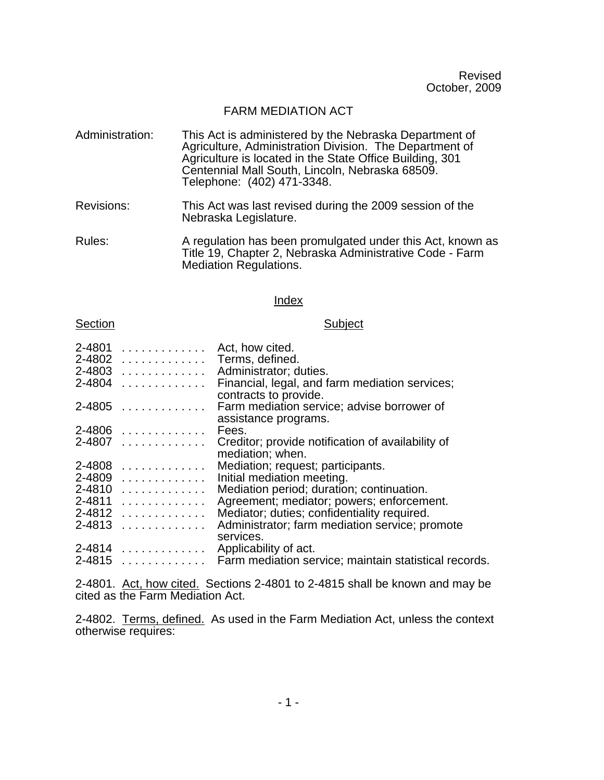Revised October, 2009

## FARM MEDIATION ACT

- Administration: This Act is administered by the Nebraska Department of Agriculture, Administration Division. The Department of Agriculture is located in the State Office Building, 301 Centennial Mall South, Lincoln, Nebraska 68509. Telephone: (402) 471-3348.
- Revisions: This Act was last revised during the 2009 session of the Nebraska Legislature.
- Rules: A regulation has been promulgated under this Act, known as Title 19, Chapter 2, Nebraska Administrative Code - Farm Mediation Regulations.

## Index

## Section Subject

| 2-4801     | .                                                       | Act, how cited.                                                         |
|------------|---------------------------------------------------------|-------------------------------------------------------------------------|
| 2-4802     | .                                                       | Terms, defined.                                                         |
| 2-4803     | .                                                       | Administrator; duties.                                                  |
| 2-4804     | .                                                       | Financial, legal, and farm mediation services;<br>contracts to provide. |
| 2-4805     | .                                                       | Farm mediation service; advise borrower of<br>assistance programs.      |
|            | $2 - 4806$                                              | Fees.                                                                   |
|            | $2 - 4807$                                              | Creditor; provide notification of availability of<br>mediation; when.   |
| 2-4808     | .                                                       | Mediation; request; participants.                                       |
| 2-4809     | .                                                       | Initial mediation meeting.                                              |
| 2-4810     | $\sim$ 100 km s $\sim$ 100 km s $\sim$ 100 km s $\sim$  | Mediation period; duration; continuation.                               |
|            | 2-4811                                                  | Agreement; mediator; powers; enforcement.                               |
| 2-4812     | $\sim$ 100 km s $\sim$ 100 km s $\sim$ 100 km s $^{-1}$ | Mediator; duties; confidentiality required.                             |
|            | $2 - 4813$                                              | Administrator; farm mediation service; promote                          |
|            | $2 - 4814$                                              | services.<br>Applicability of act.                                      |
| $2 - 4815$ | .                                                       | Farm mediation service; maintain statistical records.                   |
|            |                                                         |                                                                         |

2-4801. Act, how cited. Sections 2-4801 to 2-4815 shall be known and may be cited as the Farm Mediation Act.

2-4802. Terms, defined. As used in the Farm Mediation Act, unless the context otherwise requires: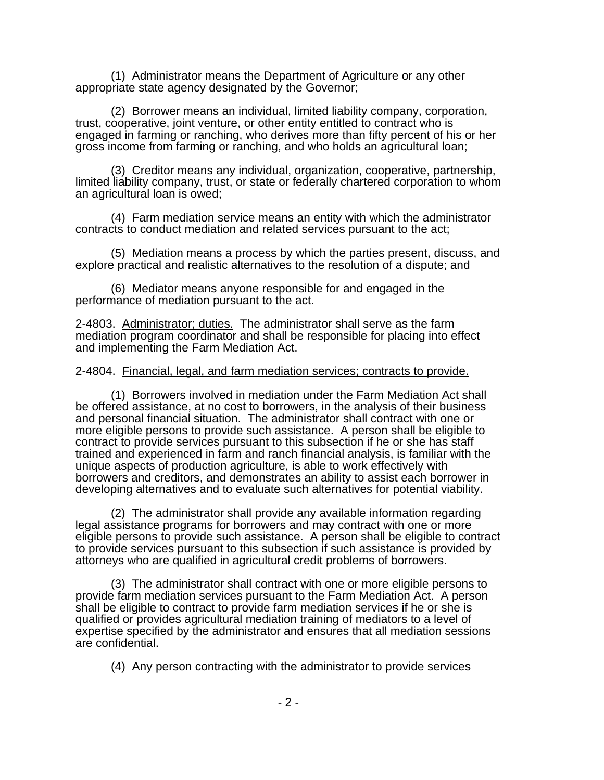(1) Administrator means the Department of Agriculture or any other appropriate state agency designated by the Governor;

(2) Borrower means an individual, limited liability company, corporation, trust, cooperative, joint venture, or other entity entitled to contract who is engaged in farming or ranching, who derives more than fifty percent of his or her gross income from farming or ranching, and who holds an agricultural loan;

(3) Creditor means any individual, organization, cooperative, partnership, limited liability company, trust, or state or federally chartered corporation to whom an agricultural loan is owed;

(4) Farm mediation service means an entity with which the administrator contracts to conduct mediation and related services pursuant to the act;

(5) Mediation means a process by which the parties present, discuss, and explore practical and realistic alternatives to the resolution of a dispute; and

(6) Mediator means anyone responsible for and engaged in the performance of mediation pursuant to the act.

2-4803. Administrator; duties. The administrator shall serve as the farm mediation program coordinator and shall be responsible for placing into effect and implementing the Farm Mediation Act.

## 2-4804. Financial, legal, and farm mediation services; contracts to provide.

(1) Borrowers involved in mediation under the Farm Mediation Act shall be offered assistance, at no cost to borrowers, in the analysis of their business and personal financial situation. The administrator shall contract with one or more eligible persons to provide such assistance. A person shall be eligible to contract to provide services pursuant to this subsection if he or she has staff trained and experienced in farm and ranch financial analysis, is familiar with the unique aspects of production agriculture, is able to work effectively with borrowers and creditors, and demonstrates an ability to assist each borrower in developing alternatives and to evaluate such alternatives for potential viability.

(2) The administrator shall provide any available information regarding legal assistance programs for borrowers and may contract with one or more eligible persons to provide such assistance. A person shall be eligible to contract to provide services pursuant to this subsection if such assistance is provided by attorneys who are qualified in agricultural credit problems of borrowers.

(3) The administrator shall contract with one or more eligible persons to provide farm mediation services pursuant to the Farm Mediation Act. A person shall be eligible to contract to provide farm mediation services if he or she is qualified or provides agricultural mediation training of mediators to a level of expertise specified by the administrator and ensures that all mediation sessions are confidential.

(4) Any person contracting with the administrator to provide services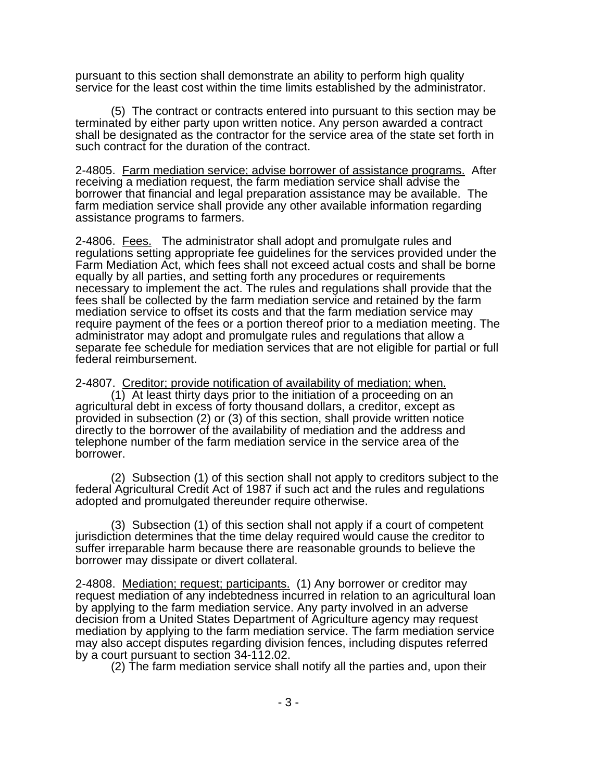pursuant to this section shall demonstrate an ability to perform high quality service for the least cost within the time limits established by the administrator.

(5) The contract or contracts entered into pursuant to this section may be terminated by either party upon written notice. Any person awarded a contract shall be designated as the contractor for the service area of the state set forth in such contract for the duration of the contract.

2-4805. Farm mediation service; advise borrower of assistance programs. After receiving a mediation request, the farm mediation service shall advise the borrower that financial and legal preparation assistance may be available. The farm mediation service shall provide any other available information regarding assistance programs to farmers.

2-4806. Fees. The administrator shall adopt and promulgate rules and regulations setting appropriate fee guidelines for the services provided under the Farm Mediation Act, which fees shall not exceed actual costs and shall be borne equally by all parties, and setting forth any procedures or requirements necessary to implement the act. The rules and regulations shall provide that the fees shall be collected by the farm mediation service and retained by the farm mediation service to offset its costs and that the farm mediation service may require payment of the fees or a portion thereof prior to a mediation meeting. The administrator may adopt and promulgate rules and regulations that allow a separate fee schedule for mediation services that are not eligible for partial or full federal reimbursement.

2-4807. Creditor; provide notification of availability of mediation; when.

 $(1)$  At least thirty days prior to the initiation of a proceeding on an agricultural debt in excess of forty thousand dollars, a creditor, except as provided in subsection (2) or (3) of this section, shall provide written notice directly to the borrower of the availability of mediation and the address and telephone number of the farm mediation service in the service area of the borrower.

(2) Subsection (1) of this section shall not apply to creditors subject to the federal Agricultural Credit Act of 1987 if such act and the rules and regulations adopted and promulgated thereunder require otherwise.

(3) Subsection (1) of this section shall not apply if a court of competent jurisdiction determines that the time delay required would cause the creditor to suffer irreparable harm because there are reasonable grounds to believe the borrower may dissipate or divert collateral.

2-4808. Mediation; request; participants. (1) Any borrower or creditor may request mediation of any indebtedness incurred in relation to an agricultural loan by applying to the farm mediation service. Any party involved in an adverse decision from a United States Department of Agriculture agency may request mediation by applying to the farm mediation service. The farm mediation service may also accept disputes regarding division fences, including disputes referred by a court pursuant to section 34-112.02.

(2) The farm mediation service shall notify all the parties and, upon their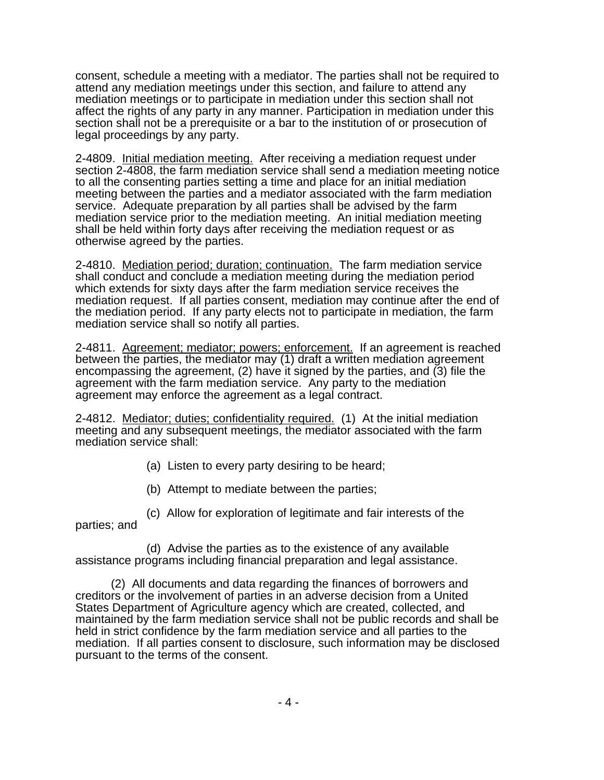consent, schedule a meeting with a mediator. The parties shall not be required to attend any mediation meetings under this section, and failure to attend any mediation meetings or to participate in mediation under this section shall not affect the rights of any party in any manner. Participation in mediation under this section shall not be a prerequisite or a bar to the institution of or prosecution of legal proceedings by any party.

2-4809. Initial mediation meeting. After receiving a mediation request under section 2-4808, the farm mediation service shall send a mediation meeting notice to all the consenting parties setting a time and place for an initial mediation meeting between the parties and a mediator associated with the farm mediation service. Adequate preparation by all parties shall be advised by the farm mediation service prior to the mediation meeting. An initial mediation meeting shall be held within forty days after receiving the mediation request or as otherwise agreed by the parties.

2-4810. Mediation period; duration; continuation. The farm mediation service shall conduct and conclude a mediation meeting during the mediation period which extends for sixty days after the farm mediation service receives the mediation request. If all parties consent, mediation may continue after the end of the mediation period. If any party elects not to participate in mediation, the farm mediation service shall so notify all parties.

2-4811. Agreement; mediator; powers; enforcement. If an agreement is reached between the parties, the mediator may (1) draft a written mediation agreement encompassing the agreement, (2) have it signed by the parties, and (3) file the agreement with the farm mediation service. Any party to the mediation agreement may enforce the agreement as a legal contract.

2-4812. Mediator; duties; confidentiality required. (1) At the initial mediation meeting and any subsequent meetings, the mediator associated with the farm mediation service shall:

(a) Listen to every party desiring to be heard;

(b) Attempt to mediate between the parties;

(c) Allow for exploration of legitimate and fair interests of the

parties; and

(d) Advise the parties as to the existence of any available assistance programs including financial preparation and legal assistance.

(2) All documents and data regarding the finances of borrowers and creditors or the involvement of parties in an adverse decision from a United States Department of Agriculture agency which are created, collected, and maintained by the farm mediation service shall not be public records and shall be held in strict confidence by the farm mediation service and all parties to the mediation. If all parties consent to disclosure, such information may be disclosed pursuant to the terms of the consent.